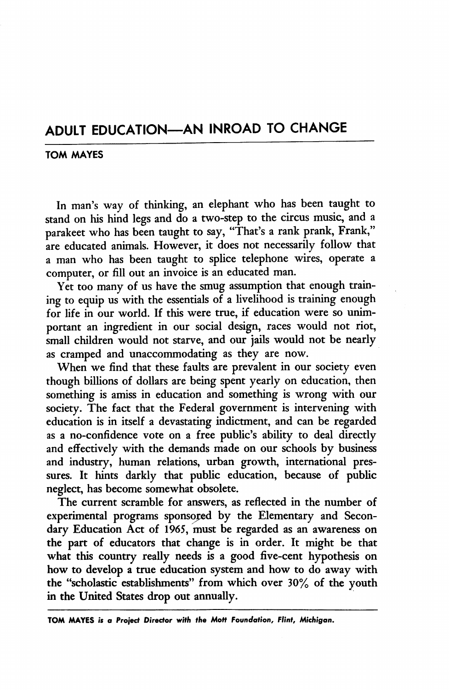## ADULT EDUCATION—AN INROAD TO CHANGE

## TOM MAYES

In man's way of thinking, an elephant who has been taught to stand on his hind legs and do a two-step to the circus music, and a parakeet who has been taught to say, "That's a rank prank, Frank," are educated animals. However, it does not necessarily follow that a man who has been taught to splice telephone wires, operate a computer, or fill out an invoice is an educated man.

Yet too many of us have the smug assumption that enough training to equip us with the essentials of a livelihood is training enough for life in our world. If this were true, if education were so unim portant an ingredient in our social design, races would not riot, small children would not starve, and our jails would not be nearly as cramped and unaccommodating as they are now.

When we find that these faults are prevalent in our society even though billions of dollars are being spent yearly on education, then something is amiss in education and something is wrong with our society. The fact that the Federal government is intervening with education is in itself a devastating indictment, and can be regarded as a no-confidence vote on a free public's ability to deal directly and effectively with the demands made on our schools by business and industry, human relations, urban growth, international pres sures. It hints darkly that public education, because of public neglect, has become somewhat obsolete.

The current scramble for answers, as reflected in the number of experimental programs sponsored by the Elementary and Secon dary Education Act of 1965, must be regarded as an awareness on the part of educators that change is in order. It might be that what this country really needs is a good five-cent hypothesis on how to develop a true education system and how to do away with the "scholastic establishments" from which over 30% of the youth in the United States drop out annually.

TOM MAYES is a Project Director with the Mott Foundation, Flint, Michigan.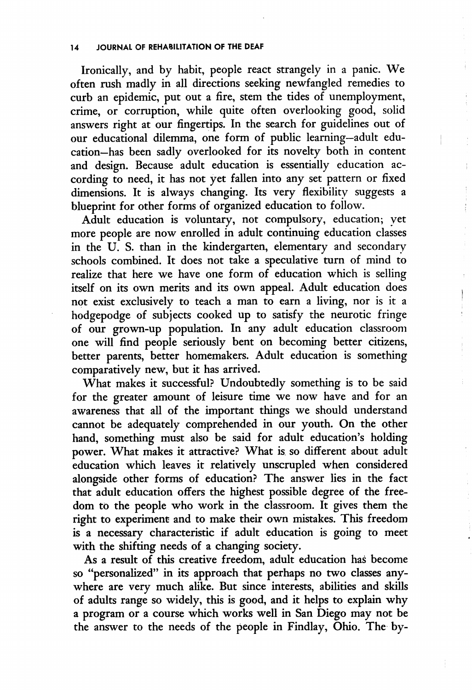Ironically, and by habit, people react strangely in a panic. We often rush madly in all directions seeking newfangled remedies to curb an epidemic, put out a fire, stem the tides of unemployment, crime, or corruption, while quite often overlooking good, solid answers right at our fingertips. In the search for guidelines out of our educational dilemma, one form of public learning—adult edu cation—has been sadly overlooked for its novelty both in content and design. Because adult education is essentially education according to need, it has not yet fallen into any set pattern or fixed dimensions. It is always changing. Its very flexibility suggests a blueprint for other forms of organized education to follow.

Adult education is voluntary, not compulsory, education; yet more people are now enrolled in adult continuing education classes in the U. S. than in the kindergarten, elementary and secondary schools combined. It does not take a speculative turn of mind to realize that here we have one form of education which is selling itself on its own merits and its own appeal. Adult education does not exist exclusively to teach a man to earn a living, nor is it a hodgepodge of subjects cooked up to satisfy the neurotic fringe of our grown-up population. In any adult education classroom one will find people seriously bent on becoming better citizens, better parents, better homemakers. Adult education is something comparatively new, but it has arrived.

What makes it successful? Undoubtedly something is to be said for the greater amount of leisure time we now have and for an awareness that all of the important things we should understand cannot be adequately comprehended in our youth. On the other hand, something must also be said for adult education's holding power. What makes it attractive? What is so different about adult education which leaves it relatively unscrupled when considered alongside other forms of education? The answer lies in the fact that adult education offers the highest possible degree of the free dom to the people who work in the classroom. It gives them the right to experiment and to make their own mistakes. This freedom is a necessary characteristic if adult education is going to meet with the shifting needs of a changing society.

As a result of this creative freedom, adult education has become so "personalized" in its approach that perhaps no two classes any where are very much alike. But since interests, abilities and skills of adults range so widely, this is good, and it helps to explain why a program or a course which works well in San Diego may not be the answer to the needs of the people in Findlay, Ohio. The by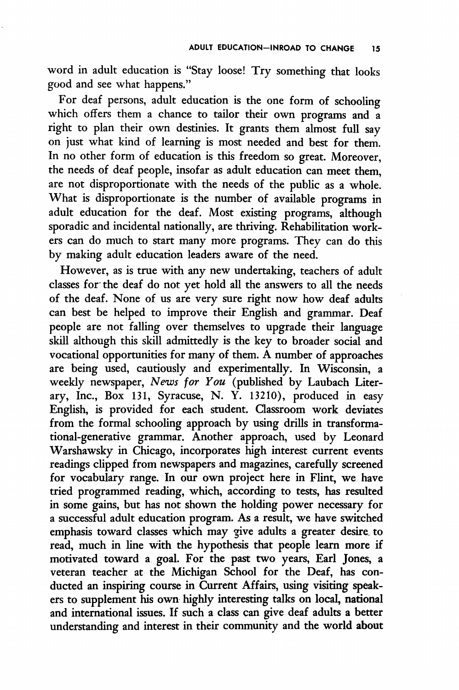word in adult education is "Stay loose! Try something that looks good and see what happens."

For deaf persons, adult education is the one form of schooling which offers them a chance to tailor their own programs and a right to plan their own destinies. It grants them almost full say on just what kind of learning is most needed and best for them. In no other form of education is this freedom so great. Moreover, the needs of deaf people, insofar as adult education can meet them, are not disproportionate with the needs of the public as a whole. What is disproportionate is the number of available programs in adult education for the deaf. Most existing programs, although sporadic and incidental nationally, are thriving. Rehabilitation work ers can do much to start many more programs. They can do this by making adult education leaders aware of the need.

However, as is true with any new undertaking, teachers of adult classes for the deaf do not yet hold all the answers to all the needs of the deaf. None of us are very sure right now how deaf adults can best be helped to improve their English and grammar. Deaf people are not falling over themselves to upgrade their language skill although this skill admittedly is the key to broader social and vocational opportunities for many of them. A number of approaches are being used, cautiously and experimentally. In Wisconsin, a weekly newspaper, News for You (published by Laubach Literary, Inc., Box 131, Syracuse, N. Y. 13210), produced in easy English, is provided for each student. Classroom work deviates from the formal schooling approach by using drills in transforma tional-generative grammar. Another approach, used by Leonard Warshawsky in Chicago, incorporates high interest current events readings clipped from newspapers and magazines, carefully screened for vocabulary range. In our own project here in Flint, we have tried programmed reading, which, according to tests, has resulted in some gains, but has not shown the holding power necessary for a successful adult education program. As a result, we have switched emphasis toward classes which may give adults a greater desire to read, much in line with the hypothesis that people leam more if motivated toward a goal. For the past two years. Earl Jones, a veteran teacher at the Michigan School for the Deaf, has con ducted an inspiring course in Current Affairs, using visiting speak ers to supplement his own highly interesting talks on local, national and international issues. If such a class can give deaf adults a better understanding and interest in their community and the world about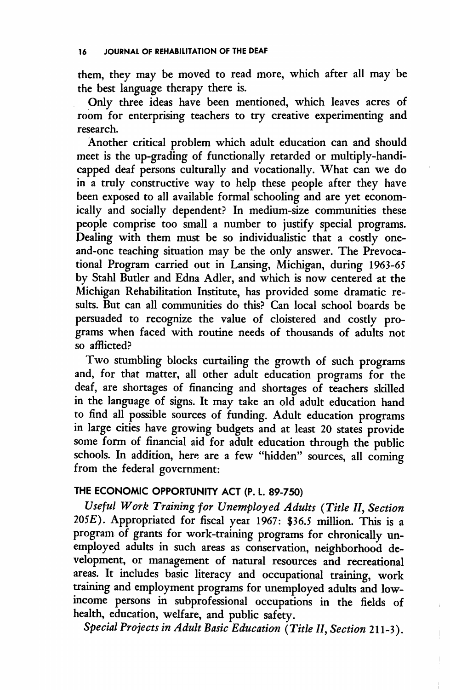them, they may be moved to read more, which after all may be the best language therapy there is.

Only three ideas have been mentioned, which leaves acres of room for enterprising teachers to try creative experimenting and research.

Another critical problem which adult education can and should meet is the up-grading of functionally retarded or multiply-handi capped deaf persons culturally and vocationally. What can we do in a truly constructive way to help these people after they have been exposed to all available formal schooling and are yet econom ically and socially dependent? In medium-size communities these people comprise too small a number to justify special programs. Dealing with them must be so individualistic that a costly oneand-one teaching situation may be the only answer. The Prevocational Program carried out in Lansing, Michigan, during 1963-65 by Stahl Butler and Edna Adler, and which is now centered at the Michigan Rehabilitation Institute, has provided some dramatic re sults. But can all communities do this? Can local school boards be persuaded to recognize the value of cloistered and costly pro grams when faced with routine needs of thousands of adults not so afflicted?

Two stumbling blocks curtailing the growth of such programs and, for that matter, all other adult education programs for the deaf, are shortages of financing and shortages of teachers skilled in the language of signs. It may take an old adult education hand to find all possible sources of funding. Adult education programs in large cities have growing budgets and at least 20 states provide some form of financial aid for adult education through the public schools. In addition, here are a few "hidden" sources, all coming from the federal government:

## THE ECONOMIC OPPORTUNITY ACT (P. L. 89-750)

Useful Work Training for Unemployed Adults {Title II, Section  $205E$ ). Appropriated for fiscal year 1967: \$36.5 million. This is a program of grants for work-training programs for chronically un employed adults in such areas as conservation, neighborhood de velopment, or management of natural resources and recreational areas. It includes basic literacy and occupational training, work training and employment programs for unemployed adults and lowincome persons in subprofessional occupations in the fields of health, education, welfare, and public safety.

Special Projects in Adult Basic Education {Title II, Section 211-3).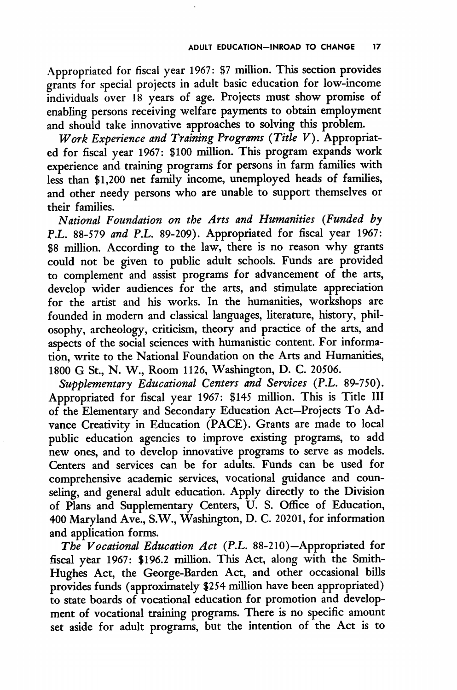Appropriated for fiscal year 1967: \$7 million. This section provides grants for special projects in adult basic education for low-income individuals over 18 years of age. Projects must show promise of enabling persons receiving welfare payments to obtain employment and should take innovative approaches to solving this problem.

Work Experience and Training Programs (Title  $V$ ). Appropriated for fiscal year 1967: \$100 million. This program expands work experience and training programs for persons in farm families with less than \$1,200 net family income, unemployed heads of families, and other needy persons who are unable to support themselves or their families.

National Foundation on the Arts and Humanities (Funded by P.L, 88-579 and P.L. 89-209). Appropriated for fiscal year 1967: \$8 million. According to the law, there is no reason why grants could not be given to public adult schools. Funds are provided to complement and assist programs for advancement of the arts, develop wider audiences for the arts, and stimulate appreciation for the artist and his works. In the humanities, workshops are founded in modern and classical languages, literature, history, phil osophy, archeology, criticism, theory and practice of the arts, and aspects of the social sciences with humanistic content. For informa tion, write to the National Foundation on the Arts and Humanities, 1800 G St., N. W., Room 1126, Washington, D. C. 20506.

Supplementary Educational Centers and Services (P.L. 89-750). Appropriated for fiscal year 1967: \$145 million. This is Title III of the Elementary and Secondary Education Act—Projects To Ad vance Creativity in Education (PACE). Grants are made to local public education agencies to improve existing programs, to add new ones, and to develop innovative programs to serve as models. Centers and services can be for adults. Funds can be used for comprehensive academic services, vocational guidance and coun seling, and general adult education. Apply directly to the Division of Plans and Supplementary Centers, U. S. Office of Education, 400 Maryland Ave., S.W., Washington, D. C. 20201, for information and application forms.

The Vocational Education Act (P.L, 88-210)—Appropriated for fiscal year 1967: \$196.2 million. This Act, along with the Smith-Hughes Act, the George-Barden Act, and other occasional bills provides funds (approximately \$254 million have been appropriated) to state boards of vocational education for promotion and develop ment of vocational training programs. There is no specific amount set aside for adult programs, but the intention of the Act is to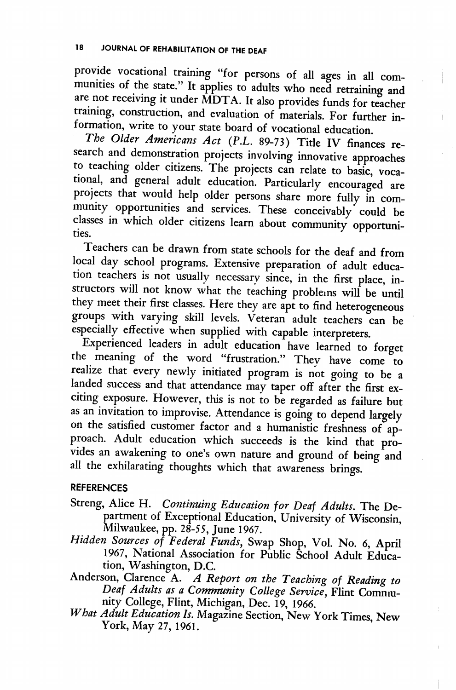provide vocational training "for persons of all ages in all com munities of the state." It applies to adults who need retraining and are not receiving it under MDTA. It also provides funds for teacher training, construction, and evaluation of materials. For further information, write to your state board of vocational education.

The Older Americans Act (P.L. 89-73) Title IV finances research and demonstration projects involving innovative approaches to teaching older citizens. The projects can relate to basic, voca tional, and general adult education. Particularly encouraged are projects that would help older persons share more fully in community opportunities and services. These conceivably could be classes in which older citizens learn about community opportuniries.

Teachers can be drawn from state schools for the deaf and from local day school programs. Extensive preparation of adult educa tion teachers is not usually necessary since, in the first place, instructors will not know what the teaching problems will be until they meet their first classes. Here they are apt to find heterogeneous groups with varying skill levels. Veteran adult teachers can be especially effective when supplied with capable interpreters.

Experienced leaders in adult education have learned to forget the meaning of the word "frustration." They have come to realize that every newly initiated program is not going to be a landed success and that attendance may taper off after the first exciting exposure. However, this is not to be regarded as failure but as an invitation to improvise. Attendance is going to depend largely on the satisfied customer factor and a humanistic freshness of ap proach. Adult education which succeeds is the kind that pro vides an awakening to one's own nature and ground of being and all the exhilarating thoughts which that awareness brings.

## REFERENCES

- Streng, Alice H. Continuing Education for Deaf Adults. The Department of Exceptional Education, University of Wisconsin, Milwaukee, pp. 28-55, June 1967.
- Hidden Sources of Federal Funds, Swap Shop, Vol. No. 6, April 1967, National Association for Public School Adult Educa tion, Washington, D.C.
- Anderson, Clarence A. A Report on the Teaching of Reading to Deaf Adults as a Community College Service, Flint Comnunity College, Elint, Michigan, Dec. 19, 1966.
- What Adult Education Is. Magazine Section, New York Times, New York, May 27, 1961.